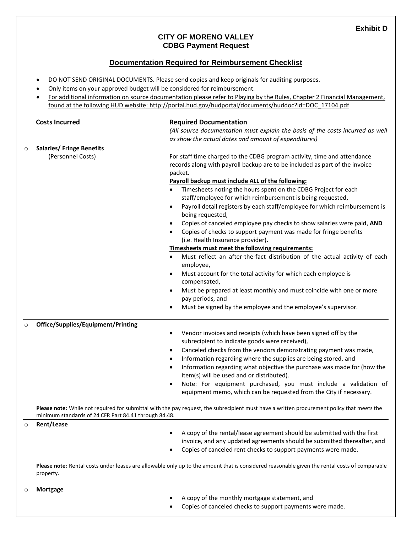## **CITY OF MORENO VALLEY CDBG Payment Request**

## **Documentation Required for Reimbursement Checklist**

- DO NOT SEND ORIGINAL DOCUMENTS. Please send copies and keep originals for auditing purposes.
- Only items on your approved budget will be considered for reimbursement.
- For additional information on source documentation please refer to Playing by the Rules, Chapter 2 Financial Management, found at the following HUD website: [http://portal.hud.gov/hudportal/documents/huddoc?id=DOC\\_17104.pdf](http://portal.hud.gov/hudportal/documents/huddoc?id=DOC_17104.pdf)

|         | <b>Costs Incurred</b>                                                                                                                                                                               | <b>Required Documentation</b><br>(All source documentation must explain the basis of the costs incurred as well                                    |
|---------|-----------------------------------------------------------------------------------------------------------------------------------------------------------------------------------------------------|----------------------------------------------------------------------------------------------------------------------------------------------------|
|         |                                                                                                                                                                                                     |                                                                                                                                                    |
|         |                                                                                                                                                                                                     | as show the actual dates and amount of expenditures)                                                                                               |
| $\circ$ | <b>Salaries/ Fringe Benefits</b>                                                                                                                                                                    |                                                                                                                                                    |
|         | (Personnel Costs)                                                                                                                                                                                   | For staff time charged to the CDBG program activity, time and attendance                                                                           |
|         |                                                                                                                                                                                                     | records along with payroll backup are to be included as part of the invoice                                                                        |
|         |                                                                                                                                                                                                     | packet.                                                                                                                                            |
|         |                                                                                                                                                                                                     | Payroll backup must include ALL of the following:                                                                                                  |
|         |                                                                                                                                                                                                     | Timesheets noting the hours spent on the CDBG Project for each<br>$\bullet$                                                                        |
|         |                                                                                                                                                                                                     | staff/employee for which reimbursement is being requested,                                                                                         |
|         |                                                                                                                                                                                                     | Payroll detail registers by each staff/employee for which reimbursement is<br>$\bullet$<br>being requested,                                        |
|         |                                                                                                                                                                                                     | Copies of canceled employee pay checks to show salaries were paid, AND<br>$\bullet$                                                                |
|         |                                                                                                                                                                                                     | Copies of checks to support payment was made for fringe benefits<br>$\bullet$                                                                      |
|         |                                                                                                                                                                                                     | (i.e. Health Insurance provider).                                                                                                                  |
|         |                                                                                                                                                                                                     | Timesheets must meet the following requirements:                                                                                                   |
|         |                                                                                                                                                                                                     | Must reflect an after-the-fact distribution of the actual activity of each                                                                         |
|         |                                                                                                                                                                                                     | employee,                                                                                                                                          |
|         |                                                                                                                                                                                                     | Must account for the total activity for which each employee is<br>$\bullet$                                                                        |
|         |                                                                                                                                                                                                     | compensated,                                                                                                                                       |
|         |                                                                                                                                                                                                     | Must be prepared at least monthly and must coincide with one or more<br>$\bullet$                                                                  |
|         |                                                                                                                                                                                                     | pay periods, and                                                                                                                                   |
|         |                                                                                                                                                                                                     | Must be signed by the employee and the employee's supervisor.<br>$\bullet$                                                                         |
| $\circ$ | <b>Office/Supplies/Equipment/Printing</b>                                                                                                                                                           |                                                                                                                                                    |
|         |                                                                                                                                                                                                     | Vendor invoices and receipts (which have been signed off by the<br>$\bullet$                                                                       |
|         |                                                                                                                                                                                                     | subrecipient to indicate goods were received),                                                                                                     |
|         |                                                                                                                                                                                                     | Canceled checks from the vendors demonstrating payment was made,<br>$\bullet$                                                                      |
|         |                                                                                                                                                                                                     | Information regarding where the supplies are being stored, and<br>$\bullet$                                                                        |
|         |                                                                                                                                                                                                     | Information regarding what objective the purchase was made for (how the<br>$\bullet$                                                               |
|         |                                                                                                                                                                                                     | item(s) will be used and or distributed).                                                                                                          |
|         |                                                                                                                                                                                                     | Note: For equipment purchased, you must include a validation of<br>$\bullet$<br>equipment memo, which can be requested from the City if necessary. |
|         | Please note: While not required for submittal with the pay request, the subrecipient must have a written procurement policy that meets the<br>minimum standards of 24 CFR Part 84.41 through 84.48. |                                                                                                                                                    |
| O       | Rent/Lease                                                                                                                                                                                          |                                                                                                                                                    |
|         |                                                                                                                                                                                                     | A copy of the rental/lease agreement should be submitted with the first<br>$\bullet$                                                               |
|         |                                                                                                                                                                                                     | invoice, and any updated agreements should be submitted thereafter, and                                                                            |
|         |                                                                                                                                                                                                     | Copies of canceled rent checks to support payments were made.                                                                                      |
|         | Please note: Rental costs under leases are allowable only up to the amount that is considered reasonable given the rental costs of comparable<br>property.                                          |                                                                                                                                                    |
|         |                                                                                                                                                                                                     |                                                                                                                                                    |
|         | <b>Mortgage</b>                                                                                                                                                                                     |                                                                                                                                                    |
|         |                                                                                                                                                                                                     | A copy of the monthly mortgage statement, and                                                                                                      |